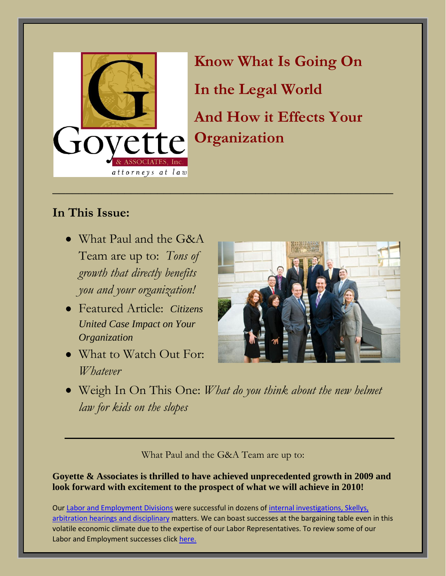

**Know What Is Going On In the Legal World And How it Effects Your Organization**

## **In This Issue:**

- What Paul and the G&A Team are up to: *Tons of growth that directly benefits you and your organization!*
- Featured Article: *Citizens United Case Impact on Your Organization*
- What to Watch Out For: *Whatever*



Weigh In On This One: *What do you think about the new helmet law for kids on the slopes*

What Paul and the G&A Team are up to:

**Goyette & Associates is thrilled to have achieved unprecedented growth in 2009 and look forward with excitement to the prospect of what we will achieve in 2010!** 

Our [Labor and Employment Divisions](http://www.goyetteassociates.com/firm.html#labor) were successful in dozens of [internal investigations, Skellys,](http://blog.goyetteassociates.com/?cat=13)  [arbitration hearings and disciplinary](http://blog.goyetteassociates.com/?cat=13) matters. We can boast successes at the bargaining table even in this volatile economic climate due to the expertise of our Labor Representatives. To review some of our Labor and Employment successes click [here.](http://blog.goyetteassociates.com/?cat=13)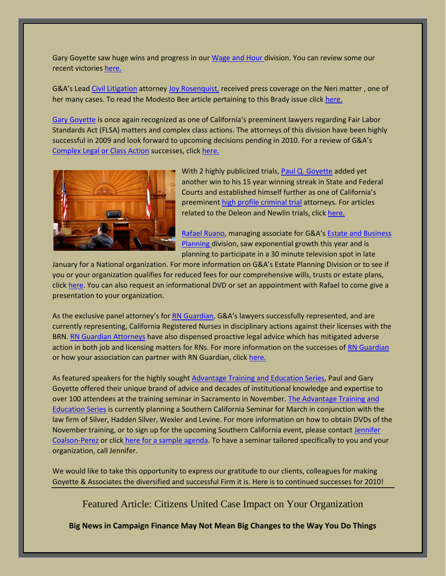Gary Goyette saw huge wins and progress in ou[r Wage and Hour d](http://www.goyetteassociates.com/firm.html#wage)ivision. You can review some our recent victorie[s here.](http://blog.goyetteassociates.com/?cat=12)

G&A's Lead [Civil Litigation](http://www.goyetteassociates.com/firm.html#litigation) attorney [Joy Rosenquist,](http://www.goyetteassociates.com/firm.html#rosenquist) received press coverage on the Neri matter, one of her many cases. To read the Modesto Bee article pertaining to this Brady issue clic[k here.](http://blog.goyetteassociates.com/?cat=11)

[Gary Goyette](http://www.goyetteassociates.com/firm.html#garygoyette) is once again recognized as one of California's preeminent lawyers regarding Fair Labor Standards Act (FLSA) matters and complex class actions. The attorneys of this division have been highly successful in 2009 and look forward to upcoming decisions pending in 2010. For a review of G&A's [Complex Legal or Class Action](http://www.goyetteassociates.com/firm.html#complex) successes, clic[k here.](http://blog.goyetteassociates.com/?cat=9)



With 2 highly publicized trials, [Paul Q. Goyette](http://www.goyetteassociates.com/firm.html#paulgoyette) added yet another win to his 15 year winning streak in State and Federal Courts and established himself further as one of California's preeminen[t high profile criminal trial](http://www.goyetteassociates.com/firm.html#criminal) attorneys. For articles related to the Deleon and Newlin trials, click [here.](http://blog.goyetteassociates.com/?cat=6)

[Rafael Ruano](http://www.goyetteassociates.com/firm.html#ruano), managing associate for G&A's Estate [and Business](http://www.goyetteassociates.com/firm.html#wills)  [Planning d](http://www.goyetteassociates.com/firm.html#wills)ivision, saw exponential growth this year and is planning to participate in a 30 minute television spot in late

January for a National organization. For more information on G&A's Estate Planning Division or to see if you or your organization qualifies for reduced fees for our comprehensive wills, trusts or estate plans, click [here.](http://blog.goyetteassociates.com/?cat=14) You can also request an informational DVD or set an appointment with Rafael to come give a presentation to your organization.

As the exclusive panel attorney's for [RN Guardian](http://www.rnguardian.com/), G&A's lawyers successfully represented, and are currently representing, California Registered Nurses in disciplinary actions against their licenses with the BRN. [RN Guardian Attorneys](http://www.rnguardian.com/articlesofinterest.html) have also dispensed proactive legal advice which has mitigated adverse action in both job and licensing matters for RNs. For more information on the successes of [RN Guardian](http://www.rnguardian.com/) or how your association can partner with RN Guardian, click [here.](http://www.rnguardian.com/articlesofinterest.html)

As featured speakers for the highly sought [Advantage Training and Education Series,](http://www.goyetteassociates.com/firm.html#training) Paul and Gary Goyette offered their unique brand of advice and decades of institutional knowledge and expertise to over 100 attendees at the training seminar in Sacramento in November[. The Advantage Training and](http://www.goyetteassociates.com/firm.html#training)  [Education Series](http://www.goyetteassociates.com/firm.html#training) is currently planning a Southern California Seminar for March in conjunction with the law firm of Silver, Hadden Silver, Wexler and Levine. For more information on how to obtain DVDs of the November training, or to sign up for the upcoming Southern California event, please contact Jennifer [Coalson-Perez](http://www.goyetteassociates.com/firm.html#coalson) or click [here for a sample agenda.](http://blog.goyetteassociates.com/?cat=10) To have a seminar tailored specifically to you and your organization, call Jennifer.

We would like to take this opportunity to express our gratitude to our clients, colleagues for making Goyette & Associates the diversified and successful Firm it is. Here is to continued successes for 2010!

Featured Article: Citizens United Case Impact on Your Organization

**Big News in Campaign Finance May Not Mean Big Changes to the Way You Do Things**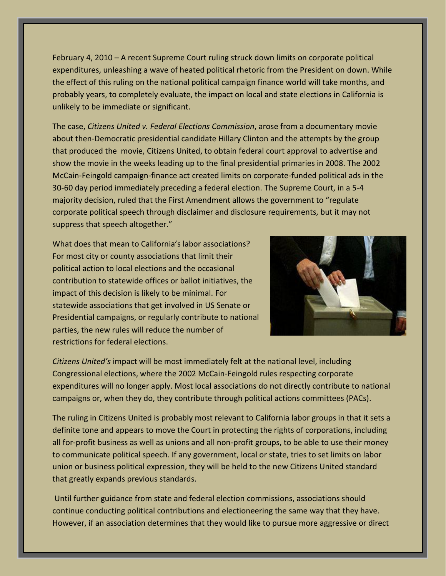February 4, 2010 – A recent Supreme Court ruling struck down limits on corporate political expenditures, unleashing a wave of heated political rhetoric from the President on down. While the effect of this ruling on the national political campaign finance world will take months, and probably years, to completely evaluate, the impact on local and state elections in California is unlikely to be immediate or significant.

The case, *Citizens United v. Federal Elections Commission*, arose from a documentary movie about then-Democratic presidential candidate Hillary Clinton and the attempts by the group that produced the movie, Citizens United, to obtain federal court approval to advertise and show the movie in the weeks leading up to the final presidential primaries in 2008. The 2002 McCain-Feingold campaign-finance act created limits on corporate-funded political ads in the 30-60 day period immediately preceding a federal election. The Supreme Court, in a 5-4 majority decision, ruled that the First Amendment allows the government to "regulate corporate political speech through disclaimer and disclosure requirements, but it may not suppress that speech altogether."

What does that mean to California's labor associations? For most city or county associations that limit their political action to local elections and the occasional contribution to statewide offices or ballot initiatives, the impact of this decision is likely to be minimal. For statewide associations that get involved in US Senate or Presidential campaigns, or regularly contribute to national parties, the new rules will reduce the number of restrictions for federal elections.



*Citizens United's* impact will be most immediately felt at the national level, including Congressional elections, where the 2002 McCain-Feingold rules respecting corporate expenditures will no longer apply. Most local associations do not directly contribute to national campaigns or, when they do, they contribute through political actions committees (PACs).

The ruling in Citizens United is probably most relevant to California labor groups in that it sets a definite tone and appears to move the Court in protecting the rights of corporations, including all for-profit business as well as unions and all non-profit groups, to be able to use their money to communicate political speech. If any government, local or state, tries to set limits on labor union or business political expression, they will be held to the new Citizens United standard that greatly expands previous standards.

Until further guidance from state and federal election commissions, associations should continue conducting political contributions and electioneering the same way that they have. However, if an association determines that they would like to pursue more aggressive or direct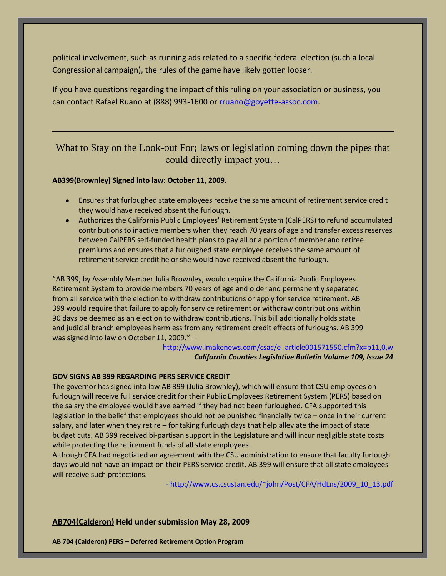political involvement, such as running ads related to a specific federal election (such a local Congressional campaign), the rules of the game have likely gotten looser.

If you have questions regarding the impact of this ruling on your association or business, you can contact Rafael Ruano at (888) 993-1600 or [rruano@goyette-assoc.com.](mailto:rruano@goyette-assoc.com)

What to Stay on the Look-out For**;** laws or legislation coming down the pipes that could directly impact you…

## **AB399(Brownley) Signed into law: October 11, 2009.**

- Ensures that furloughed state employees receive the same amount of retirement service credit they would have received absent the furlough.
- Authorizes the California Public Employees' Retirement System (CalPERS) to refund accumulated contributions to inactive members when they reach 70 years of age and transfer excess reserves between CalPERS self-funded health plans to pay all or a portion of member and retiree premiums and ensures that a furloughed state employee receives the same amount of retirement service credit he or she would have received absent the furlough.

"AB 399, by Assembly Member Julia Brownley, would require the California Public Employees Retirement System to provide members 70 years of age and older and permanently separated from all service with the election to withdraw contributions or apply for service retirement. AB 399 would require that failure to apply for service retirement or withdraw contributions within 90 days be deemed as an election to withdraw contributions. This bill additionally holds state and judicial branch employees harmless from any retirement credit effects of furloughs. AB 399 was signed into law on October 11, 2009." –

> [http://www.imakenews.com/csac/e\\_article001571550.cfm?x=b11,0,w](http://www.imakenews.com/csac/e_article001571550.cfm?x=b11,0,w) *California Counties Legislative Bulletin Volume 109, Issue 24*

## **GOV SIGNS AB 399 REGARDING PERS SERVICE CREDIT**

The governor has signed into law AB 399 (Julia Brownley), which will ensure that CSU employees on furlough will receive full service credit for their Public Employees Retirement System (PERS) based on the salary the employee would have earned if they had not been furloughed. CFA supported this legislation in the belief that employees should not be punished financially twice – once in their current salary, and later when they retire – for taking furlough days that help alleviate the impact of state budget cuts. AB 399 received bi-partisan support in the Legislature and will incur negligible state costs while protecting the retirement funds of all state employees.

Although CFA had negotiated an agreement with the CSU administration to ensure that faculty furlough days would not have an impact on their PERS service credit, AB 399 will ensure that all state employees will receive such protections.

- [http://www.cs.csustan.edu/~john/Post/CFA/HdLns/2009\\_10\\_13.pdf](http://www.cs.csustan.edu/~john/Post/CFA/HdLns/2009_10_13.pdf)

**AB704(Calderon) Held under submission May 28, 2009**

**AB 704 (Calderon) PERS – Deferred Retirement Option Program**